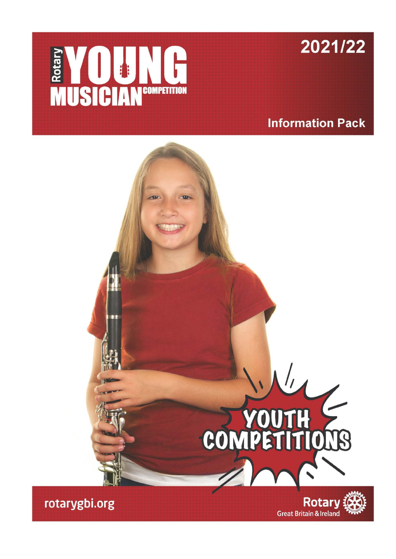# $\overline{F}$ Rotar **MUSICIAN**COMPETITION

## 2021/22

### **Information Pack**

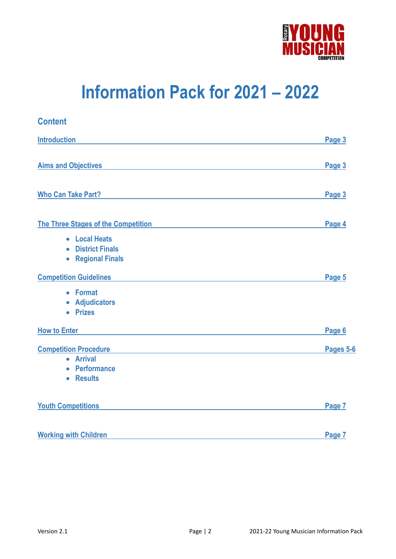

## **Information Pack for 2021 – 2022**

| <b>Content</b>                                                                                  |           |
|-------------------------------------------------------------------------------------------------|-----------|
| <b>Introduction</b>                                                                             | Page 3    |
| <b>Aims and Objectives</b><br><u> 1989 - Johann Barn, mars et al. (b. 1989)</u>                 | Page 3    |
| <b>Who Can Take Part?</b>                                                                       | Page 3    |
| <b>The Three Stages of the Competition</b><br><u> 1989 - Jan Sterling av Sterling (d. 1989)</u> | Page 4    |
| • Local Heats<br>• District Finals<br>• Regional Finals                                         |           |
| <b>Competition Guidelines</b>                                                                   | Page 5    |
| • Format<br>• Adjudicators<br>• Prizes                                                          |           |
| <b>How to Enter</b><br><u> 1980 - Johann Barbara, martxa alemaniar amerikan a</u>               | Page 6    |
| Competition Procedure <b>Competition</b> 2014<br>• Arrival<br>• Performance<br>• Results        | Pages 5-6 |
| <b>Youth Competitions</b>                                                                       | Page 7    |
| <b>Working with Children</b>                                                                    | Page 7    |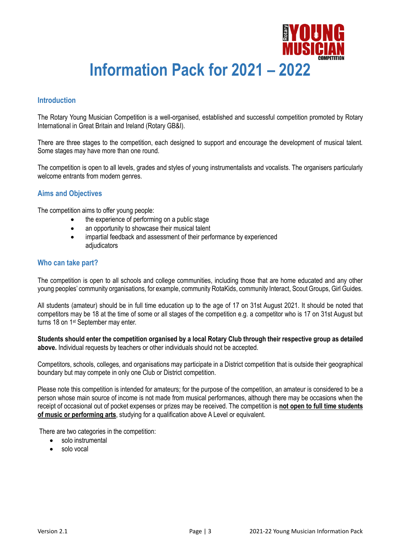

### **Information Pack for 2021 – 2022**

#### **Introduction**

The Rotary Young Musician Competition is a well-organised, established and successful competition promoted by Rotary International in Great Britain and Ireland (Rotary GB&I).

There are three stages to the competition, each designed to support and encourage the development of musical talent. Some stages may have more than one round.

The competition is open to all levels, grades and styles of young instrumentalists and vocalists. The organisers particularly welcome entrants from modern genres.

#### **Aims and Objectives**

The competition aims to offer young people:

- the experience of performing on a public stage
- an opportunity to showcase their musical talent
- impartial feedback and assessment of their performance by experienced adjudicators

#### **Who can take part?**

The competition is open to all schools and college communities, including those that are home educated and any other young peoples' community organisations, for example, community RotaKids, community Interact, Scout Groups, Girl Guides.

All students (amateur) should be in full time education up to the age of 17 on 31st August 2021. It should be noted that competitors may be 18 at the time of some or all stages of the competition e.g. a competitor who is 17 on 31st August but turns 18 on 1<sup>st</sup> September may enter.

**Students should enter the competition organised by a local Rotary Club through their respective group as detailed above.** Individual requests by teachers or other individuals should not be accepted.

Competitors, schools, colleges, and organisations may participate in a District competition that is outside their geographical boundary but may compete in only one Club or District competition.

Please note this competition is intended for amateurs; for the purpose of the competition, an amateur is considered to be a person whose main source of income is not made from musical performances, although there may be occasions when the receipt of occasional out of pocket expenses or prizes may be received. The competition is **not open to full time students of music or performing arts**, studying for a qualification above A Level or equivalent.

There are two categories in the competition:

- solo instrumental
- solo vocal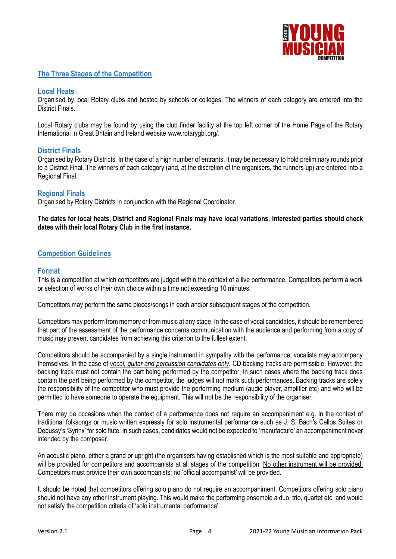

#### **The Three Stages of the Competition**

#### **Local Heats**

Organised by local Rotary clubs and hosted by schools or colleges. The winners of each category are entered into the District Finals.

Local Rotary clubs may be found by using the club finder facility at the top left corner of the Home Page of the Rotary International in Great Britain and Ireland website [www.rotarygbi.org/.](file:///C:/Users/Gwenda/C:/Users/andys/AppData/andys/Documents/Bill/Rotary/RIBI/www.rotarygbi.org/)

#### **District Finals**

Organised by Rotary Districts. In the case of a high number of entrants, it may be necessary to hold preliminary rounds prior to a District Final. The winners of each category (and, at the discretion of the organisers, the runners-up) are entered into a Regional Final.

#### **Regional Finals**

Organised by Rotary Districts in conjunction with the Regional Coordinator.

**The dates for local heats, District and Regional Finals may have local variations. Interested parties should check dates with their local Rotary Club in the first instance.**

#### **Competition Guidelines**

#### **Format**

This is a competition at which competitors are judged within the context of a live performance. Competitors perform a work or selection of works of their own choice within a time not exceeding 10 minutes.

Competitors may perform the same pieces/songs in each and/or subsequent stages of the competition.

Competitors may perform from memory or from music at any stage. In the case of vocal candidates, it should be remembered that part of the assessment of the performance concerns communication with the audience and performing from a copy of music may prevent candidates from achieving this criterion to the fullest extent.

Competitors should be accompanied by a single instrument in sympathy with the performance; vocalists may accompany themselves. In the case of *vocal, guitar and percussion candidates only*, CD backing tracks are permissible. However, the backing track must not contain the part being performed by the competitor; in such cases where the backing track does contain the part being performed by the competitor, the judges will not mark such performances. Backing tracks are solely the responsibility of the competitor who must provide the performing medium (audio player, amplifier etc) and who will be permitted to have someone to operate the equipment. This will not be the responsibility of the organiser.

There may be occasions when the context of a performance does not require an accompaniment e.g. in the context of traditional folksongs or music written expressly for solo instrumental performance such as J. S. Bach's Cellos Suites or Debussy's 'Syrinx' for solo flute. In such cases, candidates would not be expected to 'manufacture' an accompaniment never intended by the composer.

An acoustic piano, either a grand or upright (the organisers having established which is the most suitable and appropriate) will be provided for competitors and accompanists at all stages of the competition. No other instrument will be provided. Competitors must provide their own accompanists; no 'official accompanist' will be provided.

It should be noted that competitors offering solo piano do not require an accompaniment. Competitors offering solo piano should not have any other instrument playing. This would make the performing ensemble a duo, trio, quartet etc. and would not satisfy the competition criteria of 'solo instrumental performance'.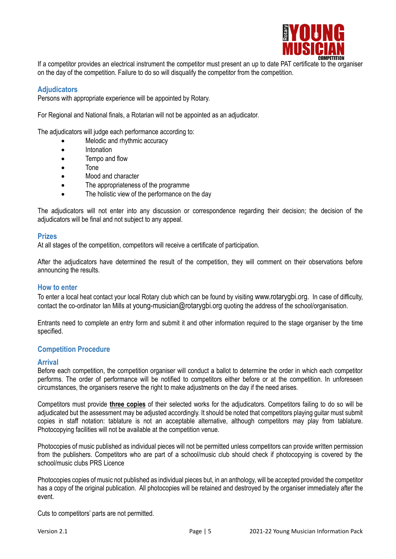

If a competitor provides an electrical instrument the competitor must present an up to date PAT certificate to the organiser on the day of the competition. Failure to do so will disqualify the competitor from the competition.

#### **Adjudicators**

Persons with appropriate experience will be appointed by Rotary.

For Regional and National finals, a Rotarian will not be appointed as an adjudicator.

The adjudicators will judge each performance according to:

- Melodic and rhythmic accuracy
- Intonation
- Tempo and flow
- Tone
- Mood and character
- The appropriateness of the programme
- The holistic view of the performance on the day

The adjudicators will not enter into any discussion or correspondence regarding their decision; the decision of the adjudicators will be final and not subject to any appeal.

#### **Prizes**

At all stages of the competition, competitors will receive a certificate of participation.

After the adjudicators have determined the result of the competition, they will comment on their observations before announcing the results.

#### **How to enter**

To enter a local heat contact your local Rotary club which can be found by visiting [www.rotarygbi.org.](file:///C:/Users/Gwenda/C:/Users/andys/AppData/andys/Documents/Bill/Rotary/RIBI/www.rotarygbi.org) In case of difficulty, contact the co-ordinator Ian Mills at [young-musician@rotarygbi.org](mailto:young-musician@rotarygbi.org) quoting the address of the school/organisation.

Entrants need to complete an entry form and submit it and other information required to the stage organiser by the time specified.

#### **Competition Procedure**

#### **Arrival**

Before each competition, the competition organiser will conduct a ballot to determine the order in which each competitor performs. The order of performance will be notified to competitors either before or at the competition. In unforeseen circumstances, the organisers reserve the right to make adjustments on the day if the need arises.

Competitors must provide **three copies** of their selected works for the adjudicators. Competitors failing to do so will be adjudicated but the assessment may be adjusted accordingly. It should be noted that competitors playing guitar must submit copies in staff notation: tablature is not an acceptable alternative, although competitors may play from tablature. Photocopying facilities will not be available at the competition venue.

Photocopies of music published as individual pieces will not be permitted unless competitors can provide written permission from the publishers. Competitors who are part of a school/music club should check if photocopying is covered by the school/music clubs PRS Licence

Photocopies copies of music not published as individual pieces but, in an anthology, will be accepted provided the competitor has a copy of the original publication. All photocopies will be retained and destroyed by the organiser immediately after the event.

Cuts to competitors' parts are not permitted.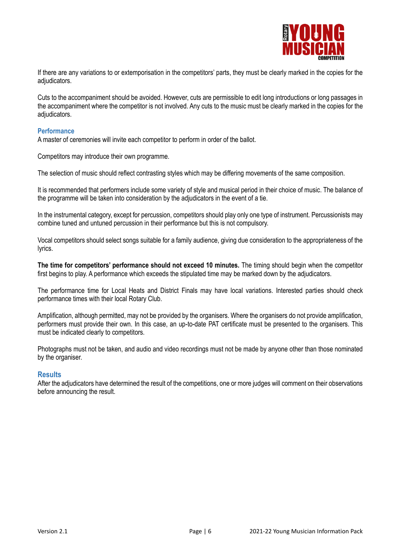

If there are any variations to or extemporisation in the competitors' parts, they must be clearly marked in the copies for the adjudicators.

Cuts to the accompaniment should be avoided. However, cuts are permissible to edit long introductions or long passages in the accompaniment where the competitor is not involved. Any cuts to the music must be clearly marked in the copies for the adjudicators.

#### **Performance**

A master of ceremonies will invite each competitor to perform in order of the ballot.

Competitors may introduce their own programme.

The selection of music should reflect contrasting styles which may be differing movements of the same composition.

It is recommended that performers include some variety of style and musical period in their choice of music. The balance of the programme will be taken into consideration by the adjudicators in the event of a tie.

In the instrumental category, except for percussion, competitors should play only one type of instrument. Percussionists may combine tuned and untuned percussion in their performance but this is not compulsory.

Vocal competitors should select songs suitable for a family audience, giving due consideration to the appropriateness of the lyrics.

**The time for competitors' performance should not exceed 10 minutes.** The timing should begin when the competitor first begins to play. A performance which exceeds the stipulated time may be marked down by the adjudicators.

The performance time for Local Heats and District Finals may have local variations. Interested parties should check performance times with their local Rotary Club.

Amplification, although permitted, may not be provided by the organisers. Where the organisers do not provide amplification, performers must provide their own. In this case, an up-to-date PAT certificate must be presented to the organisers. This must be indicated clearly to competitors.

Photographs must not be taken, and audio and video recordings must not be made by anyone other than those nominated by the organiser.

#### **Results**

After the adjudicators have determined the result of the competitions, one or more judges will comment on their observations before announcing the result.